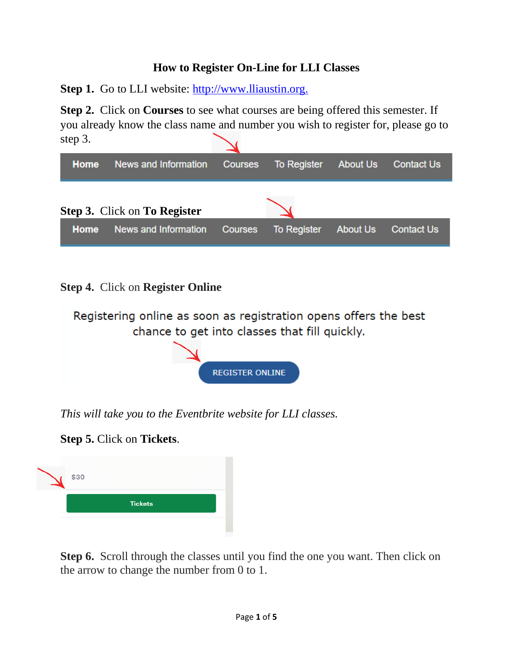#### **How to Register On-Line for LLI Classes**

**Step 1.** Go to LLI website: [http://www.lliaustin.org.](http://www.lliaustin.org./)

**Step 2.** Click on **Courses** to see what courses are being offered this semester. If you already know the class name and number you wish to register for, please go to step 3.



#### **Step 4.** Click on **Register Online**



*This will take you to the Eventbrite website for LLI classes.* 

**Step 5.** Click on **Tickets**.

| \$30           |  |  |
|----------------|--|--|
| <b>Tickets</b> |  |  |
|                |  |  |

**Step 6.** Scroll through the classes until you find the one you want. Then click on the arrow to change the number from 0 to 1.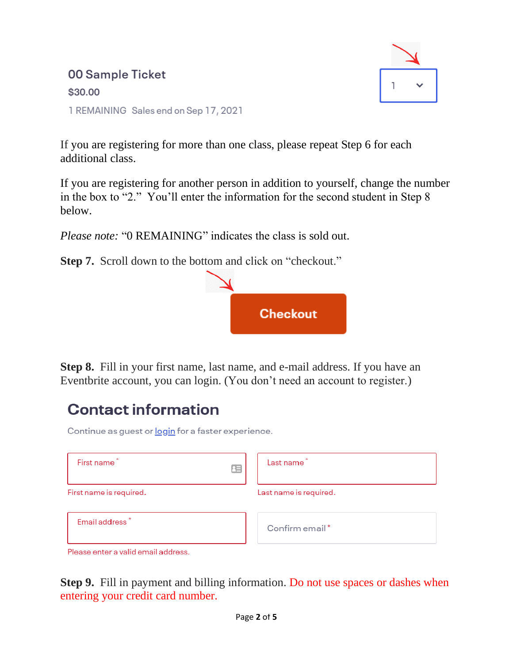### 00 Sample Ticket \$30.00 1 REMAINING Sales end on Sep 17, 2021



If you are registering for more than one class, please repeat Step 6 for each additional class.

If you are registering for another person in addition to yourself, change the number in the box to "2." You'll enter the information for the second student in Step 8 below.

*Please note:* "0 REMAINING" indicates the class is sold out.

**Step 7.** Scroll down to the bottom and click on "checkout."



**Step 8.** Fill in your first name, last name, and e-mail address. If you have an Eventbrite account, you can login. (You don't need an account to register.)

# **Contact information**

Continue as guest or login for a faster experience.

| First name*<br>胆           | Last name*             |
|----------------------------|------------------------|
| First name is required.    | Last name is required. |
| Email address <sup>*</sup> | Confirm email*         |

Please enter a valid email address.

**Step 9.** Fill in payment and billing information. Do not use spaces or dashes when entering your credit card number.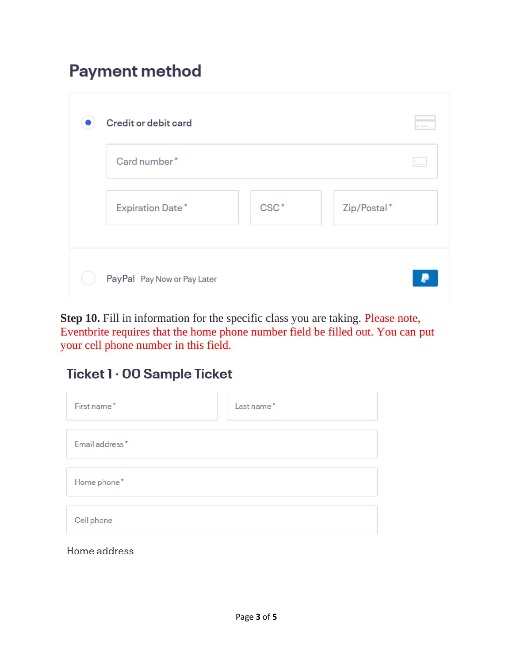## **Payment method**

| Card number*     |                  | $\sim$      |
|------------------|------------------|-------------|
| Expiration Date* | CSC <sup>*</sup> | Zip/Postal* |

**Step 10.** Fill in information for the specific class you are taking. Please note, Eventbrite requires that the home phone number field be filled out. You can put your cell phone number in this field.

### Ticket 1 · 00 Sample Ticket

| First name*    | Last name* |  |  |  |
|----------------|------------|--|--|--|
|                |            |  |  |  |
| Email address* |            |  |  |  |
|                |            |  |  |  |
| Home phone*    |            |  |  |  |
|                |            |  |  |  |
| Cell phone     |            |  |  |  |

Home address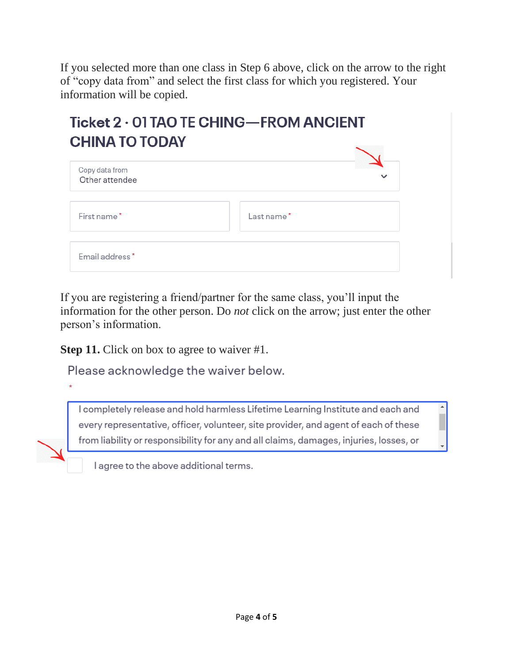If you selected more than one class in Step 6 above, click on the arrow to the right of "copy data from" and select the first class for which you registered. Your information will be copied.

## Ticket 2 · 01 TAO TE CHING-FROM ANCIENT **CHINA TO TODAY**

| Copy data from<br>Other attendee |            |
|----------------------------------|------------|
| First name*                      | Last name* |
| Email address*                   |            |

If you are registering a friend/partner for the same class, you'll input the information for the other person. Do *not* click on the arrow; just enter the other person's information.

**Step 11.** Click on box to agree to waiver #1.

Please acknowledge the waiver below.

I completely release and hold harmless Lifetime Learning Institute and each and every representative, officer, volunteer, site provider, and agent of each of these from liability or responsibility for any and all claims, damages, injuries, losses, or

I agree to the above additional terms.